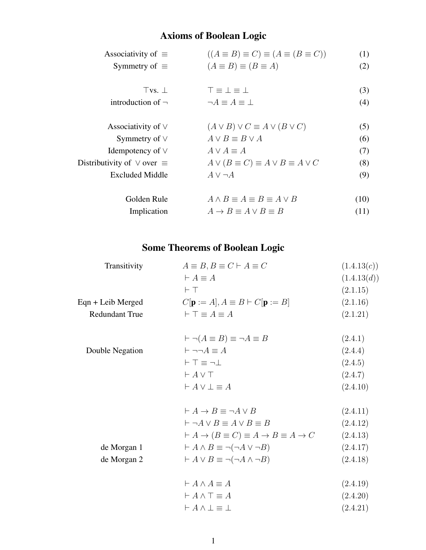## Axioms of Boolean Logic

| Associativity of $\equiv$              | $((A \equiv B) \equiv C) \equiv (A \equiv (B \equiv C))$ | (1)  |
|----------------------------------------|----------------------------------------------------------|------|
| Symmetry of $\equiv$                   | $(A \equiv B) \equiv (B \equiv A)$                       | (2)  |
|                                        |                                                          |      |
| Tvs.                                   | $T \equiv \bot \equiv \bot$                              | (3)  |
| introduction of $\neg$                 | $\neg A \equiv A \equiv \bot$                            | (4)  |
|                                        |                                                          |      |
| Associativity of $\vee$                | $(A \vee B) \vee C \equiv A \vee (B \vee C)$             | (5)  |
| Symmetry of $\vee$                     | $A \vee B \equiv B \vee A$                               | (6)  |
| Idempotency of $\vee$                  | $A \vee A \equiv A$                                      | (7)  |
| Distributivity of $\vee$ over $\equiv$ | $A \vee (B \equiv C) \equiv A \vee B \equiv A \vee C$    | (8)  |
| <b>Excluded Middle</b>                 | $A \vee \neg A$                                          | (9)  |
|                                        |                                                          |      |
| Golden Rule                            | $A \wedge B \equiv A \equiv B \equiv A \vee B$           | (10) |
| Implication                            | $A \rightarrow B \equiv A \vee B \equiv B$               | (11) |
|                                        |                                                          |      |

## Some Theorems of Boolean Logic

| $A \equiv B, B \equiv C \vdash A \equiv C$                                        | (1.4.13(c)) |
|-----------------------------------------------------------------------------------|-------------|
| $\vdash A \equiv A$                                                               | (1.4.13(d)) |
| $\vdash$ T                                                                        | (2.1.15)    |
| $C[\mathbf{p} := A], A \equiv B \vdash C[\mathbf{p} := B]$                        | (2.1.16)    |
| $\vdash \top \equiv A \equiv A$                                                   | (2.1.21)    |
| $\vdash \neg (A \equiv B) \equiv \neg A \equiv B$                                 | (2.4.1)     |
| $\vdash \neg \neg A \equiv A$                                                     | (2.4.4)     |
| $\vdash$ T $\equiv$ $\neg$ $\bot$                                                 | (2.4.5)     |
| $\vdash A \vee \top$                                                              | (2.4.7)     |
| $\vdash A \vee \bot \equiv A$                                                     | (2.4.10)    |
| $\vdash A \rightarrow B \equiv \neg A \vee B$                                     | (2.4.11)    |
| $\vdash \neg A \lor B \equiv A \lor B \equiv B$                                   | (2.4.12)    |
| $\vdash A \rightarrow (B \equiv C) \equiv A \rightarrow B \equiv A \rightarrow C$ | (2.4.13)    |
| $\vdash A \land B \equiv \neg(\neg A \lor \neg B)$                                | (2.4.17)    |
| $\vdash A \lor B \equiv \neg(\neg A \land \neg B)$                                | (2.4.18)    |
| $\vdash A \wedge A \equiv A$                                                      | (2.4.19)    |
| $\vdash A \wedge \top \equiv A$                                                   | (2.4.20)    |
| $\vdash A \wedge \bot \equiv \bot$                                                | (2.4.21)    |
|                                                                                   |             |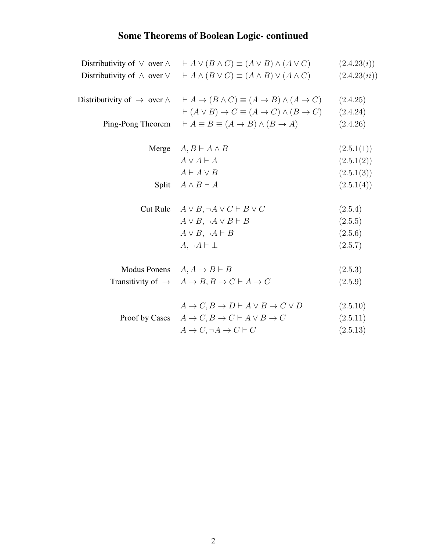# Some Theorems of Boolean Logic- continued

| Distributivity of $\vee$ over $\wedge$        | $\vdash A \lor (B \land C) \equiv (A \lor B) \land (A \lor C)$                             | (2.4.23(i))  |
|-----------------------------------------------|--------------------------------------------------------------------------------------------|--------------|
| Distributivity of $\wedge$ over $\vee$        | $\vdash A \land (B \lor C) \equiv (A \land B) \lor (A \land C)$                            | (2.4.23(ii)) |
| Distributivity of $\rightarrow$ over $\wedge$ | $\vdash A \to (B \land C) \equiv (A \to B) \land (A \to C)$                                | (2.4.25)     |
|                                               | $\vdash (A \lor B) \to C \equiv (A \to C) \land (B \to C)$                                 | (2.4.24)     |
| Ping-Pong Theorem                             | $\vdash A \equiv B \equiv (A \rightarrow B) \land (B \rightarrow A)$                       | (2.4.26)     |
| Merge                                         | $A, B \vdash A \wedge B$                                                                   | (2.5.1(1))   |
|                                               | $A \vee A \vdash A$                                                                        | (2.5.1(2))   |
|                                               | $A \vdash A \vee B$                                                                        | (2.5.1(3))   |
| Split                                         | $A \wedge B \vdash A$                                                                      | (2.5.1(4))   |
| Cut Rule                                      | $A \vee B, \neg A \vee C \vdash B \vee C$                                                  | (2.5.4)      |
|                                               | $A \vee B, \neg A \vee B \vdash B$                                                         | (2.5.5)      |
|                                               | $A \vee B, \neg A \vdash B$                                                                | (2.5.6)      |
|                                               | $A, \neg A \vdash \bot$                                                                    | (2.5.7)      |
|                                               | Modus Ponens $A, A \rightarrow B \vdash B$                                                 | (2.5.3)      |
|                                               | Transitivity of $\rightarrow$ $A \rightarrow B$ , $B \rightarrow C \vdash A \rightarrow C$ | (2.5.9)      |
|                                               | $A \to C, B \to D \vdash A \lor B \to C \lor D$                                            | (2.5.10)     |
| Proof by Cases                                | $A \to C, B \to C \vdash A \lor B \to C$                                                   | (2.5.11)     |
|                                               | $A \to C, \neg A \to C \vdash C$                                                           | (2.5.13)     |
|                                               |                                                                                            |              |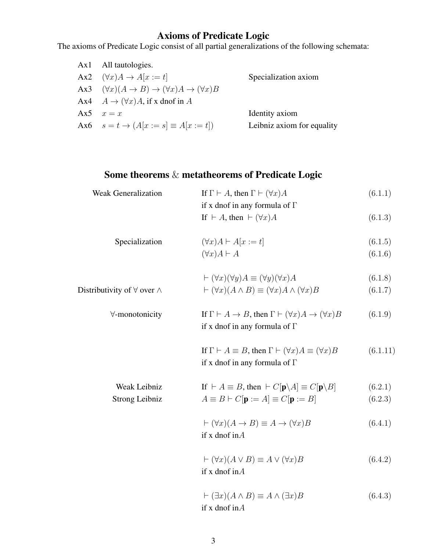#### Axioms of Predicate Logic

The axioms of Predicate Logic consist of all partial generalizations of the following schemata:

| Ax1 | All tautologies.                                                                     |                            |
|-----|--------------------------------------------------------------------------------------|----------------------------|
|     | Ax2 $(\forall x)A \rightarrow A[x := t]$                                             | Specialization axiom       |
|     | Ax3 $(\forall x)(A \rightarrow B) \rightarrow (\forall x)A \rightarrow (\forall x)B$ |                            |
|     | Ax4 $A \rightarrow (\forall x)A$ , if x dnof in A                                    |                            |
|     | Ax5 $x = x$                                                                          | Identity axiom             |
|     | Ax6 $s = t \to (A[x := s] \equiv A[x := t])$                                         | Leibniz axiom for equality |

### Some theorems & metatheorems of Predicate Logic

| <b>Weak Generalization</b> | If $\Gamma \vdash A$ , then $\Gamma \vdash (\forall x)A$ | (6.1.1) |
|----------------------------|----------------------------------------------------------|---------|
|                            | if x dnof in any formula of $\Gamma$                     |         |
|                            | If $\vdash A$ , then $\vdash (\forall x)A$               | (6.1.3) |

| Specialization | $(\forall x)A \vdash A[x := t]$ | (6.1.5) |
|----------------|---------------------------------|---------|
|                |                                 |         |

$$
(\forall x)A \vdash A \tag{6.1.6}
$$

$$
\vdash (\forall x)(\forall y)A \equiv (\forall y)(\forall x)A \tag{6.1.8}
$$
\nDistributivity of  $\forall$  over  $\land$ 

\n
$$
\vdash (\forall x)(A \land B) \equiv (\forall x)A \land (\forall x)B \tag{6.1.7}
$$

| $\forall$ -monotonicity | If $\Gamma \vdash A \to B$ , then $\Gamma \vdash (\forall x)A \to (\forall x)B$ | (6.1.9) |
|-------------------------|---------------------------------------------------------------------------------|---------|
|                         | if x dnof in any formula of $\Gamma$                                            |         |

If  $\Gamma \vdash A \equiv B$ , then  $\Gamma \vdash (\forall x)A \equiv (\forall x)B$  (6.1.11) if x dnof in any formula of Γ

| Weak Leibniz   | If $\vdash A \equiv B$ , then $\vdash C[\mathbf{p} \backslash A] \equiv C[\mathbf{p} \backslash B]$ | (6.2.1) |
|----------------|-----------------------------------------------------------------------------------------------------|---------|
| Strong Leibniz | $A \equiv B \vdash C[\mathbf{p} := A] \equiv C[\mathbf{p} := B]$                                    | (6.2.3) |

$$
\vdash (\forall x)(A \to B) \equiv A \to (\forall x)B \tag{6.4.1}
$$
  
if x  $\text{dof in } A$ 

$$
\vdash (\forall x)(A \lor B) \equiv A \lor (\forall x)B \tag{6.4.2}
$$
  
if x **dnof** inA

$$
\vdash (\exists x)(A \land B) \equiv A \land (\exists x)B \tag{6.4.3}
$$
  
if x dnof in A